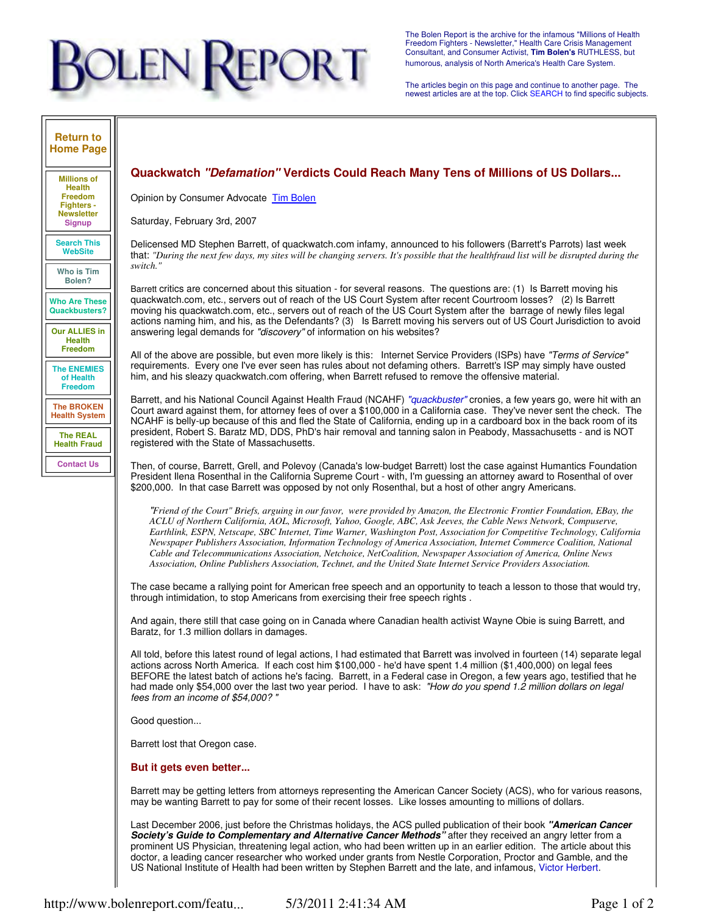# **DLEN REPORT**

The Bolen Report is the archive for the infamous "Millions of Health Freedom Fighters - Newsletter," Health Care Crisis Management Consultant, and Consumer Activist, **Tim Bolen's** RUTHLESS, but humorous, analysis of North America's Health Care System.

The articles begin on this page and continue to another page. The newest articles are at the top. Click SEARCH to find specific subjects.

### **Return to Home Page**

**Millions of Health Freedom Fighters - Newsletter Signup**

**Search This WebSite**

**Who is Tim Bolen?**

**Who Are These Quackbusters?**

**Our ALLIES in Health Freedom**

**The ENEMIES of Health Freedom**

**The BROKEN Health System**

**The REAL Health Fraud Contact Us**

# **Quackwatch "Defamation" Verdicts Could Reach Many Tens of Millions of US Dollars...**

Opinion by Consumer Advocate Tim Bolen

Saturday, February 3rd, 2007

Delicensed MD Stephen Barrett, of quackwatch.com infamy, announced to his followers (Barrett's Parrots) last week that: *"During the next few days, my sites will be changing servers. It's possible that the healthfraud list will be disrupted during the switch."*

Barrett critics are concerned about this situation - for several reasons. The questions are: (1) Is Barrett moving his quackwatch.com, etc., servers out of reach of the US Court System after recent Courtroom losses? (2) Is Barrett moving his quackwatch.com, etc., servers out of reach of the US Court System after the barrage of newly files legal actions naming him, and his, as the Defendants? (3) Is Barrett moving his servers out of US Court Jurisdiction to avoid answering legal demands for "discovery" of information on his websites?

All of the above are possible, but even more likely is this: Internet Service Providers (ISPs) have "Terms of Service" requirements. Every one I've ever seen has rules about not defaming others. Barrett's ISP may simply have ousted him, and his sleazy quackwatch.com offering, when Barrett refused to remove the offensive material.

Barrett, and his National Council Against Health Fraud (NCAHF) "quackbuster" cronies, a few years go, were hit with an Court award against them, for attorney fees of over a \$100,000 in a California case. They've never sent the check. The NCAHF is belly-up because of this and fled the State of California, ending up in a cardboard box in the back room of its president, Robert S. Baratz MD, DDS, PhD's hair removal and tanning salon in Peabody, Massachusetts - and is NOT registered with the State of Massachusetts.

Then, of course, Barrett, Grell, and Polevoy (Canada's low-budget Barrett) lost the case against Humantics Foundation President Ilena Rosenthal in the California Supreme Court - with, I'm guessing an attorney award to Rosenthal of over \$200,000. In that case Barrett was opposed by not only Rosenthal, but a host of other angry Americans.

"*Friend of the Court" Briefs, arguing in our favor, were provided by Amazon, the Electronic Frontier Foundation, EBay, the ACLU of Northern California, AOL, Microsoft, Yahoo, Google, ABC, Ask Jeeves, the Cable News Network, Compuserve, Earthlink, ESPN, Netscape, SBC Internet, Time Warner, Washington Post, Association for Competitive Technology, California Newspaper Publishers Association, Information Technology of America Association, Internet Commerce Coalition, National Cable and Telecommunications Association, Netchoice, NetCoalition, Newspaper Association of America, Online News Association, Online Publishers Association, Technet, and the United State Internet Service Providers Association.* 

The case became a rallying point for American free speech and an opportunity to teach a lesson to those that would try, through intimidation, to stop Americans from exercising their free speech rights .

And again, there still that case going on in Canada where Canadian health activist Wayne Obie is suing Barrett, and Baratz, for 1.3 million dollars in damages.

All told, before this latest round of legal actions, I had estimated that Barrett was involved in fourteen (14) separate legal actions across North America. If each cost him \$100,000 - he'd have spent 1.4 million (\$1,400,000) on legal fees BEFORE the latest batch of actions he's facing. Barrett, in a Federal case in Oregon, a few years ago, testified that he had made only \$54,000 over the last two year period. I have to ask: "How do you spend 1.2 million dollars on legal fees from an income of \$54,000? "

Good question...

Barrett lost that Oregon case.

## **But it gets even better...**

Barrett may be getting letters from attorneys representing the American Cancer Society (ACS), who for various reasons, may be wanting Barrett to pay for some of their recent losses. Like losses amounting to millions of dollars.

Last December 2006, just before the Christmas holidays, the ACS pulled publication of their book **"American Cancer Society's Guide to Complementary and Alternative Cancer Methods"** after they received an angry letter from a prominent US Physician, threatening legal action, who had been written up in an earlier edition. The article about this doctor, a leading cancer researcher who worked under grants from Nestle Corporation, Proctor and Gamble, and the US National Institute of Health had been written by Stephen Barrett and the late, and infamous, Victor Herbert.